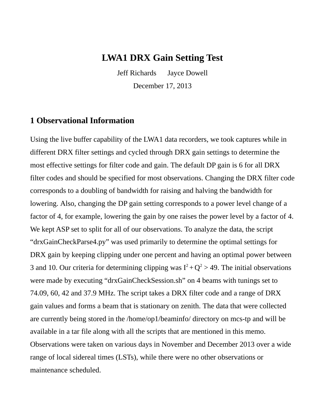### **LWA1 DRX Gain Setting Test**

Jeff Richards Jayce Dowell December 17, 2013

#### **1 Observational Information**

Using the live buffer capability of the LWA1 data recorders, we took captures while in different DRX filter settings and cycled through DRX gain settings to determine the most effective settings for filter code and gain. The default DP gain is 6 for all DRX filter codes and should be specified for most observations. Changing the DRX filter code corresponds to a doubling of bandwidth for raising and halving the bandwidth for lowering. Also, changing the DP gain setting corresponds to a power level change of a factor of 4, for example, lowering the gain by one raises the power level by a factor of 4. We kept ASP set to split for all of our observations. To analyze the data, the script "drxGainCheckParse4.py" was used primarily to determine the optimal settings for DRX gain by keeping clipping under one percent and having an optimal power between 3 and 10. Our criteria for determining clipping was  $I^2 + Q^2 > 49$ . The initial observations were made by executing "drxGainCheckSession.sh" on 4 beams with tunings set to 74.09, 60, 42 and 37.9 MHz. The script takes a DRX filter code and a range of DRX gain values and forms a beam that is stationary on zenith. The data that were collected are currently being stored in the /home/op1/beaminfo/ directory on mcs-tp and will be available in a tar file along with all the scripts that are mentioned in this memo. Observations were taken on various days in November and December 2013 over a wide range of local sidereal times (LSTs), while there were no other observations or maintenance scheduled.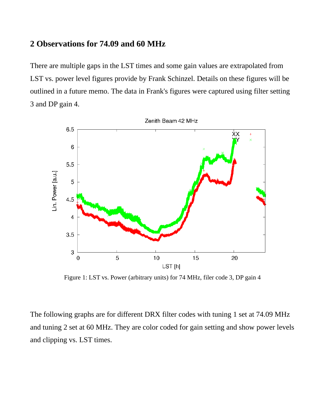#### **2 Observations for 74.09 and 60 MHz**

There are multiple gaps in the LST times and some gain values are extrapolated from LST vs. power level figures provide by Frank Schinzel. Details on these figures will be outlined in a future memo. The data in Frank's figures were captured using filter setting 3 and DP gain 4.



Figure 1: LST vs. Power (arbitrary units) for 74 MHz, filer code 3, DP gain 4

The following graphs are for different DRX filter codes with tuning 1 set at 74.09 MHz and tuning 2 set at 60 MHz. They are color coded for gain setting and show power levels and clipping vs. LST times.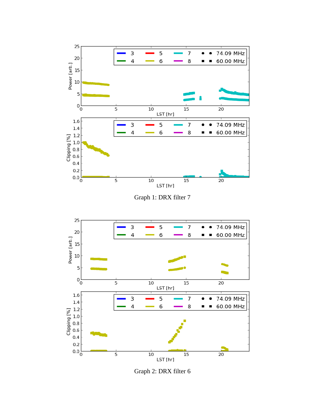

Graph 2: DRX filter 6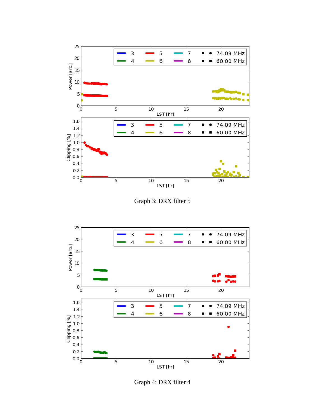

Graph 3: DRX filter 5



Graph 4: DRX filter 4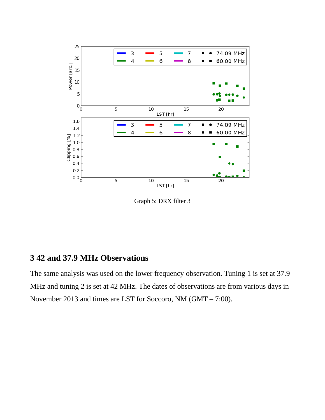

Graph 5: DRX filter 3

## **3 42 and 37.9 MHz Observations**

The same analysis was used on the lower frequency observation. Tuning 1 is set at 37.9 MHz and tuning 2 is set at 42 MHz. The dates of observations are from various days in November 2013 and times are LST for Soccoro, NM (GMT – 7:00).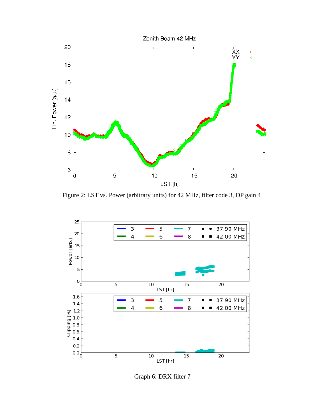

Figure 2: LST vs. Power (arbitrary units) for 42 MHz, filter code 3, DP gain 4



Graph 6: DRX filter 7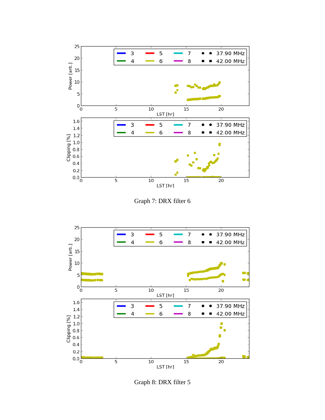





Graph 8: DRX filter 5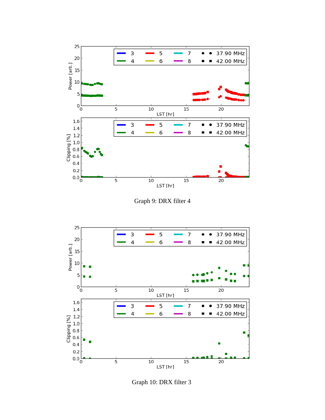

Graph 9: DRX filter 4



Graph 10: DRX filter 3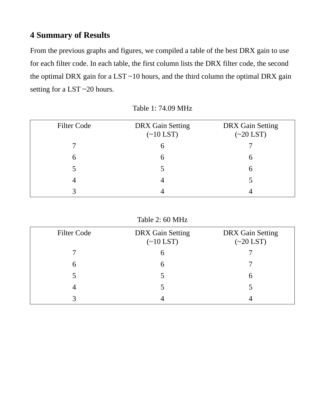# **4 Summary of Results**

From the previous graphs and figures, we compiled a table of the best DRX gain to use for each filter code. In each table, the first column lists the DRX filter code, the second the optimal DRX gain for a LST  $~10$  hours, and the third column the optimal DRX gain setting for a LST ~20 hours.

| <b>Filter Code</b> | <b>DRX</b> Gain Setting<br>$(\sim10$ LST) | <b>DRX</b> Gain Setting<br>$(\sim 20$ LST) |
|--------------------|-------------------------------------------|--------------------------------------------|
|                    |                                           |                                            |
| 6                  |                                           | h                                          |
|                    |                                           | b                                          |
|                    |                                           | ר                                          |
|                    |                                           |                                            |

Table 1: 74.09 MHz

Table 2: 60 MHz

| <b>Filter Code</b> | <b>DRX</b> Gain Setting<br>$(\sim 10$ LST) | <b>DRX</b> Gain Setting<br>$(\sim 20$ LST) |
|--------------------|--------------------------------------------|--------------------------------------------|
|                    |                                            |                                            |
| h                  |                                            |                                            |
| 5                  |                                            |                                            |
|                    |                                            | ר.                                         |
|                    |                                            |                                            |